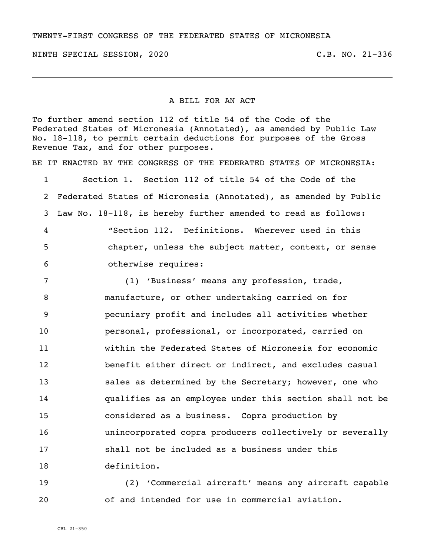TWENTY-FIRST CONGRESS OF THE FEDERATED STATES OF MICRONESIA

NINTH SPECIAL SESSION, 2020 C.B. NO. 21-336

## A BILL FOR AN ACT

To further amend section 112 of title 54 of the Code of the Federated States of Micronesia (Annotated), as amended by Public Law No. 18-118, to permit certain deductions for purposes of the Gross Revenue Tax, and for other purposes. BE IT ENACTED BY THE CONGRESS OF THE FEDERATED STATES OF MICRONESIA: Section 1. Section 112 of title 54 of the Code of the Federated States of Micronesia (Annotated), as amended by Public Law No. 18-118, is hereby further amended to read as follows: "Section 112. Definitions. Wherever used in this chapter, unless the subject matter, context, or sense otherwise requires: (1) 'Business' means any profession, trade, manufacture, or other undertaking carried on for pecuniary profit and includes all activities whether personal, professional, or incorporated, carried on within the Federated States of Micronesia for economic benefit either direct or indirect, and excludes casual sales as determined by the Secretary; however, one who qualifies as an employee under this section shall not be considered as a business. Copra production by unincorporated copra producers collectively or severally shall not be included as a business under this definition.

 (2) 'Commercial aircraft' means any aircraft capable of and intended for use in commercial aviation.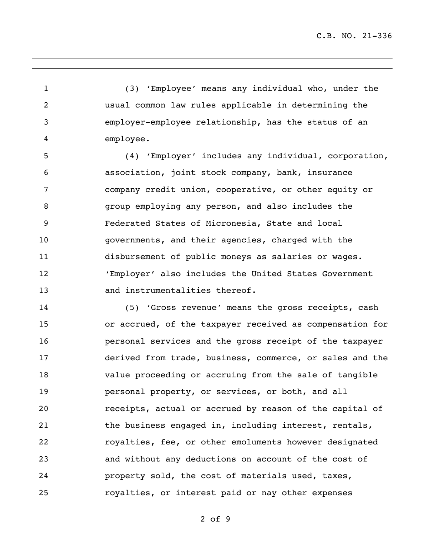(3) 'Employee' means any individual who, under the usual common law rules applicable in determining the employer-employee relationship, has the status of an employee.

 (4) 'Employer' includes any individual, corporation, association, joint stock company, bank, insurance company credit union, cooperative, or other equity or group employing any person, and also includes the Federated States of Micronesia, State and local governments, and their agencies, charged with the disbursement of public moneys as salaries or wages. 'Employer' also includes the United States Government and instrumentalities thereof.

 (5) 'Gross revenue' means the gross receipts, cash or accrued, of the taxpayer received as compensation for personal services and the gross receipt of the taxpayer derived from trade, business, commerce, or sales and the value proceeding or accruing from the sale of tangible personal property, or services, or both, and all receipts, actual or accrued by reason of the capital of 21 the business engaged in, including interest, rentals, royalties, fee, or other emoluments however designated and without any deductions on account of the cost of property sold, the cost of materials used, taxes, royalties, or interest paid or nay other expenses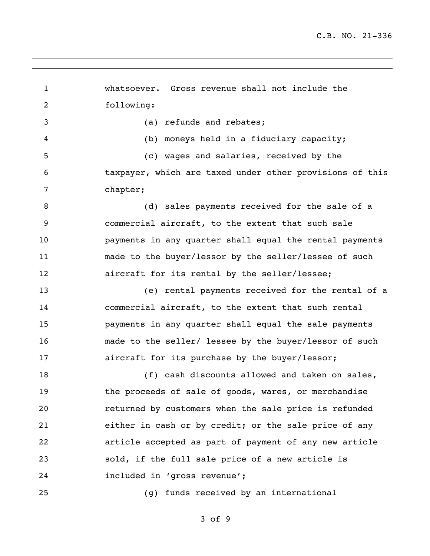whatsoever. Gross revenue shall not include the following: (a) refunds and rebates; (b) moneys held in a fiduciary capacity; (c) wages and salaries, received by the taxpayer, which are taxed under other provisions of this chapter; 8 (d) sales payments received for the sale of a commercial aircraft, to the extent that such sale payments in any quarter shall equal the rental payments made to the buyer/lessor by the seller/lessee of such aircraft for its rental by the seller/lessee; (e) rental payments received for the rental of a commercial aircraft, to the extent that such rental payments in any quarter shall equal the sale payments made to the seller/ lessee by the buyer/lessor of such aircraft for its purchase by the buyer/lessor; 18 (f) cash discounts allowed and taken on sales, 19 the proceeds of sale of goods, wares, or merchandise returned by customers when the sale price is refunded either in cash or by credit; or the sale price of any article accepted as part of payment of any new article sold, if the full sale price of a new article is included in 'gross revenue'; (g) funds received by an international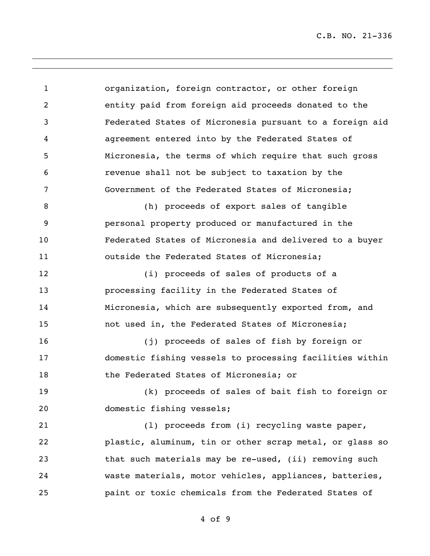C.B. NO. 21-336

 organization, foreign contractor, or other foreign entity paid from foreign aid proceeds donated to the Federated States of Micronesia pursuant to a foreign aid agreement entered into by the Federated States of Micronesia, the terms of which require that such gross revenue shall not be subject to taxation by the Government of the Federated States of Micronesia; (h) proceeds of export sales of tangible personal property produced or manufactured in the Federated States of Micronesia and delivered to a buyer outside the Federated States of Micronesia; (i) proceeds of sales of products of a processing facility in the Federated States of Micronesia, which are subsequently exported from, and not used in, the Federated States of Micronesia; (j) proceeds of sales of fish by foreign or domestic fishing vessels to processing facilities within the Federated States of Micronesia; or (k) proceeds of sales of bait fish to foreign or domestic fishing vessels; (l) proceeds from (i) recycling waste paper, plastic, aluminum, tin or other scrap metal, or glass so 23 that such materials may be re-used, (ii) removing such waste materials, motor vehicles, appliances, batteries, paint or toxic chemicals from the Federated States of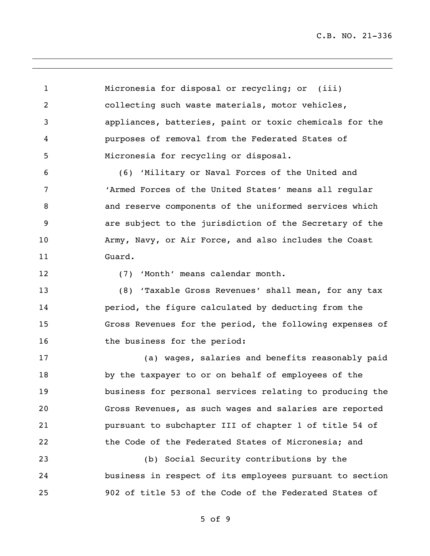C.B. NO. 21-336

 Micronesia for disposal or recycling; or (iii) collecting such waste materials, motor vehicles, appliances, batteries, paint or toxic chemicals for the purposes of removal from the Federated States of Micronesia for recycling or disposal.

 (6) 'Military or Naval Forces of the United and 'Armed Forces of the United States' means all regular and reserve components of the uniformed services which are subject to the jurisdiction of the Secretary of the Army, Navy, or Air Force, and also includes the Coast Guard.

12 (7) 'Month' means calendar month.

 (8) 'Taxable Gross Revenues' shall mean, for any tax period, the figure calculated by deducting from the Gross Revenues for the period, the following expenses of 16 the business for the period:

 (a) wages, salaries and benefits reasonably paid by the taxpayer to or on behalf of employees of the business for personal services relating to producing the Gross Revenues, as such wages and salaries are reported pursuant to subchapter III of chapter 1 of title 54 of the Code of the Federated States of Micronesia; and

 (b) Social Security contributions by the business in respect of its employees pursuant to section 902 of title 53 of the Code of the Federated States of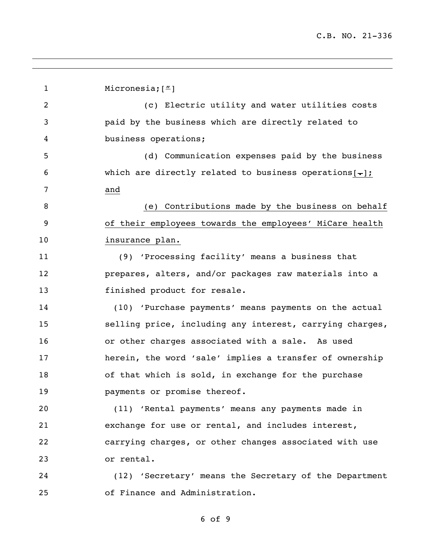1 Micronesia; ["] (c) Electric utility and water utilities costs paid by the business which are directly related to business operations; (d) Communication expenses paid by the business 6 which are directly related to business operations  $[-]$ ; and 8 (e) Contributions made by the business on behalf of their employees towards the employees' MiCare health insurance plan. (9) 'Processing facility' means a business that prepares, alters, and/or packages raw materials into a 13 finished product for resale. (10) 'Purchase payments' means payments on the actual selling price, including any interest, carrying charges, or other charges associated with a sale. As used herein, the word 'sale' implies a transfer of ownership of that which is sold, in exchange for the purchase **payments or promise thereof.**  (11) 'Rental payments' means any payments made in exchange for use or rental, and includes interest, carrying charges, or other changes associated with use or rental. (12) 'Secretary' means the Secretary of the Department of Finance and Administration.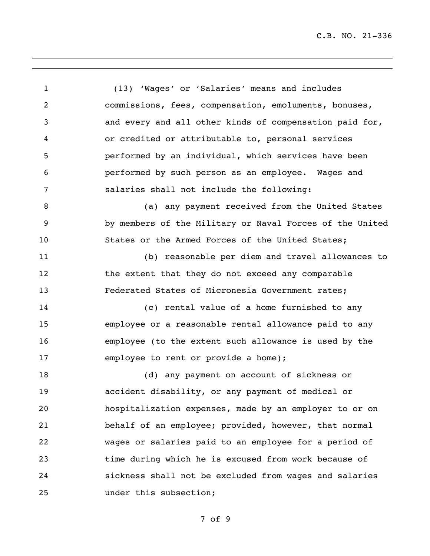C.B. NO. 21-336

 (13) 'Wages' or 'Salaries' means and includes commissions, fees, compensation, emoluments, bonuses, and every and all other kinds of compensation paid for, or credited or attributable to, personal services performed by an individual, which services have been performed by such person as an employee. Wages and salaries shall not include the following: 8 (a) any payment received from the United States by members of the Military or Naval Forces of the United States or the Armed Forces of the United States; (b) reasonable per diem and travel allowances to 12 the extent that they do not exceed any comparable Federated States of Micronesia Government rates; (c) rental value of a home furnished to any employee or a reasonable rental allowance paid to any employee (to the extent such allowance is used by the employee to rent or provide a home); (d) any payment on account of sickness or accident disability, or any payment of medical or hospitalization expenses, made by an employer to or on behalf of an employee; provided, however, that normal wages or salaries paid to an employee for a period of time during which he is excused from work because of sickness shall not be excluded from wages and salaries under this subsection;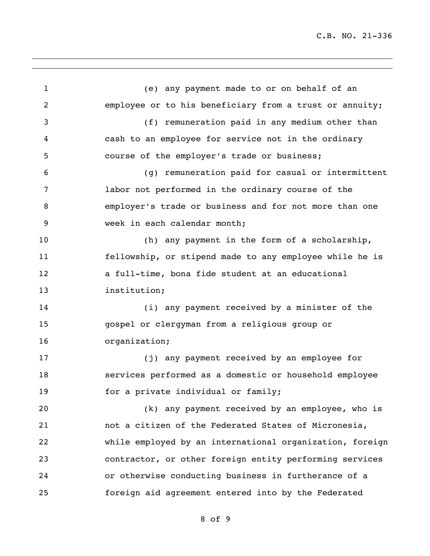(e) any payment made to or on behalf of an employee or to his beneficiary from a trust or annuity; (f) remuneration paid in any medium other than cash to an employee for service not in the ordinary course of the employer's trade or business; (g) remuneration paid for casual or intermittent labor not performed in the ordinary course of the employer's trade or business and for not more than one week in each calendar month; (h) any payment in the form of a scholarship, fellowship, or stipend made to any employee while he is a full-time, bona fide student at an educational institution; (i) any payment received by a minister of the gospel or clergyman from a religious group or organization; (j) any payment received by an employee for services performed as a domestic or household employee 19 for a private individual or family; (k) any payment received by an employee, who is not a citizen of the Federated States of Micronesia, while employed by an international organization, foreign contractor, or other foreign entity performing services or otherwise conducting business in furtherance of a foreign aid agreement entered into by the Federated